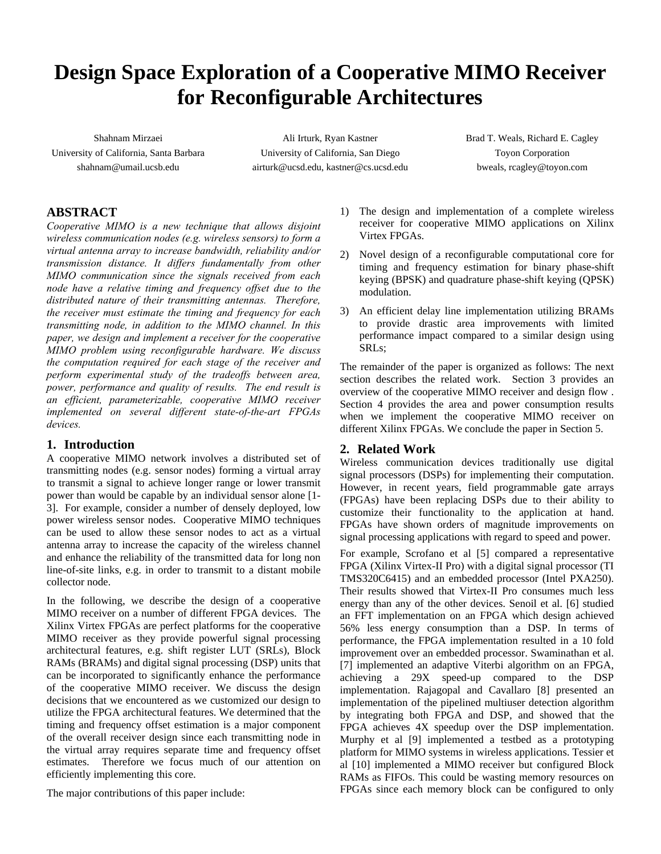# **Design Space Exploration of a Cooperative MIMO Receiver for Reconfigurable Architectures**

Shahnam Mirzaei University of California, Santa Barbara shahnam@umail.ucsb.edu

Ali Irturk, Ryan Kastner University of California, San Diego airturk@ucsd.edu, kastner@cs.ucsd.edu Brad T. Weals, Richard E. Cagley Toyon Corporation bweals, rcagley@toyon.com

# **ABSTRACT**

*Cooperative MIMO is a new technique that allows disjoint wireless communication nodes (e.g. wireless sensors) to form a virtual antenna array to increase bandwidth, reliability and/or transmission distance. It differs fundamentally from other MIMO communication since the signals received from each node have a relative timing and frequency offset due to the distributed nature of their transmitting antennas. Therefore, the receiver must estimate the timing and frequency for each transmitting node, in addition to the MIMO channel. In this paper, we design and implement a receiver for the cooperative MIMO problem using reconfigurable hardware. We discuss the computation required for each stage of the receiver and perform experimental study of the tradeoffs between area, power, performance and quality of results. The end result is an efficient, parameterizable, cooperative MIMO receiver implemented on several different state-of-the-art FPGAs devices.* 

## **1. Introduction**

A cooperative MIMO network involves a distributed set of transmitting nodes (e.g. sensor nodes) forming a virtual array to transmit a signal to achieve longer range or lower transmit power than would be capable by an individual sensor alone [1- 3]. For example, consider a number of densely deployed, low power wireless sensor nodes. Cooperative MIMO techniques can be used to allow these sensor nodes to act as a virtual antenna array to increase the capacity of the wireless channel and enhance the reliability of the transmitted data for long non line-of-site links, e.g. in order to transmit to a distant mobile collector node.

In the following, we describe the design of a cooperative MIMO receiver on a number of different FPGA devices. The Xilinx Virtex FPGAs are perfect platforms for the cooperative MIMO receiver as they provide powerful signal processing architectural features, e.g. shift register LUT (SRLs), Block RAMs (BRAMs) and digital signal processing (DSP) units that can be incorporated to significantly enhance the performance of the cooperative MIMO receiver. We discuss the design decisions that we encountered as we customized our design to utilize the FPGA architectural features. We determined that the timing and frequency offset estimation is a major component of the overall receiver design since each transmitting node in the virtual array requires separate time and frequency offset estimates. Therefore we focus much of our attention on efficiently implementing this core.

The major contributions of this paper include:

- 1) The design and implementation of a complete wireless receiver for cooperative MIMO applications on Xilinx Virtex FPGAs.
- 2) Novel design of a reconfigurable computational core for timing and frequency estimation for binary phase-shift keying (BPSK) and quadrature phase-shift keying (QPSK) modulation.
- 3) An efficient delay line implementation utilizing BRAMs to provide drastic area improvements with limited performance impact compared to a similar design using SRLs;

The remainder of the paper is organized as follows: The next section describes the related work. Section 3 provides an overview of the cooperative MIMO receiver and design flow . Section 4 provides the area and power consumption results when we implement the cooperative MIMO receiver on different Xilinx FPGAs. We conclude the paper in Section 5.

## **2. Related Work**

Wireless communication devices traditionally use digital signal processors (DSPs) for implementing their computation. However, in recent years, field programmable gate arrays (FPGAs) have been replacing DSPs due to their ability to customize their functionality to the application at hand. FPGAs have shown orders of magnitude improvements on signal processing applications with regard to speed and power.

For example, Scrofano et al [5] compared a representative FPGA (Xilinx Virtex-II Pro) with a digital signal processor (TI TMS320C6415) and an embedded processor (Intel PXA250). Their results showed that Virtex-II Pro consumes much less energy than any of the other devices. Senoil et al. [6] studied an FFT implementation on an FPGA which design achieved 56% less energy consumption than a DSP. In terms of performance, the FPGA implementation resulted in a 10 fold improvement over an embedded processor. Swaminathan et al. [7] implemented an adaptive Viterbi algorithm on an FPGA, achieving a 29X speed-up compared to the DSP implementation. Rajagopal and Cavallaro [8] presented an implementation of the pipelined multiuser detection algorithm by integrating both FPGA and DSP, and showed that the FPGA achieves 4X speedup over the DSP implementation. Murphy et al [9] implemented a testbed as a prototyping platform for MIMO systems in wireless applications. Tessier et al [10] implemented a MIMO receiver but configured Block RAMs as FIFOs. This could be wasting memory resources on FPGAs since each memory block can be configured to only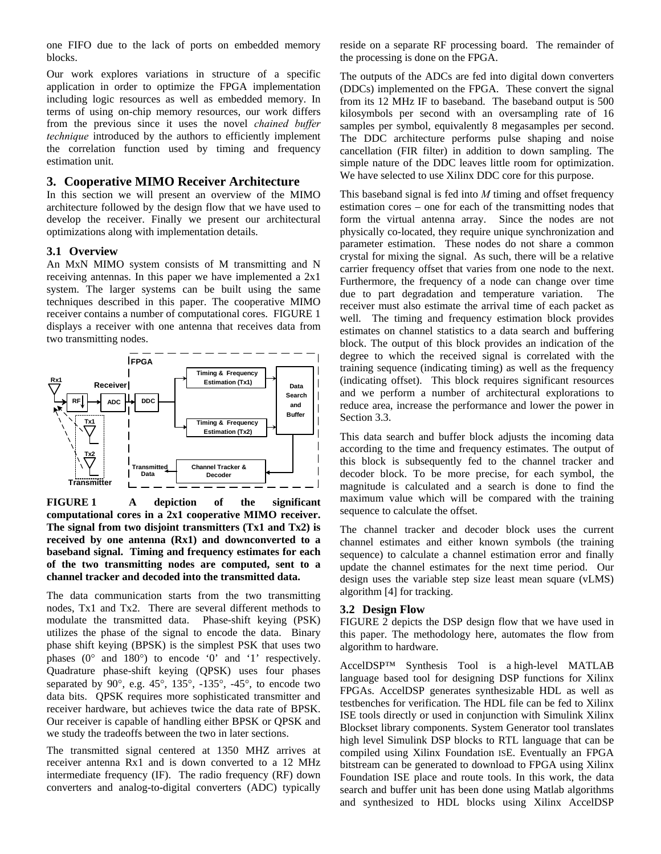one FIFO due to the lack of ports on embedded memory blocks.

Our work explores variations in structure of a specific application in order to optimize the FPGA implementation including logic resources as well as embedded memory. In terms of using on-chip memory resources, our work differs from the previous since it uses the novel *chained buffer technique* introduced by the authors to efficiently implement the correlation function used by timing and frequency estimation unit.

#### **3. Cooperative MIMO Receiver Architecture**

In this section we will present an overview of the MIMO architecture followed by the design flow that we have used to develop the receiver. Finally we present our architectural optimizations along with implementation details.

#### **3.1 Overview**

An MxN MIMO system consists of M transmitting and N receiving antennas. In this paper we have implemented a 2x1 system. The larger systems can be built using the same techniques described in this paper. The cooperative MIMO receiver contains a number of computational cores. FIGURE 1 displays a receiver with one antenna that receives data from two transmitting nodes.



**FIGURE 1 A depiction of the significant computational cores in a 2x1 cooperative MIMO receiver. The signal from two disjoint transmitters (Tx1 and Tx2) is received by one antenna (Rx1) and downconverted to a baseband signal. Timing and frequency estimates for each of the two transmitting nodes are computed, sent to a channel tracker and decoded into the transmitted data.**

The data communication starts from the two transmitting nodes, Tx1 and Tx2. There are several different methods to modulate the transmitted data. Phase-shift keying (PSK) utilizes the phase of the signal to encode the data. Binary phase shift keying (BPSK) is the simplest PSK that uses two phases (0° and 180°) to encode '0' and '1' respectively. Quadrature phase-shift keying (QPSK) uses four phases separated by 90°, e.g. 45°, 135°, -135°, -45°, to encode two data bits. QPSK requires more sophisticated transmitter and receiver hardware, but achieves twice the data rate of BPSK. Our receiver is capable of handling either BPSK or QPSK and we study the tradeoffs between the two in later sections.

The transmitted signal centered at 1350 MHZ arrives at receiver antenna Rx1 and is down converted to a 12 MHz intermediate frequency (IF). The radio frequency (RF) down converters and analog-to-digital converters (ADC) typically

reside on a separate RF processing board. The remainder of the processing is done on the FPGA.

The outputs of the ADCs are fed into digital down converters (DDCs) implemented on the FPGA. These convert the signal from its 12 MHz IF to baseband. The baseband output is 500 kilosymbols per second with an oversampling rate of 16 samples per symbol, equivalently 8 megasamples per second. The DDC architecture performs pulse shaping and noise cancellation (FIR filter) in addition to down sampling. The simple nature of the DDC leaves little room for optimization. We have selected to use Xilinx DDC core for this purpose.

This baseband signal is fed into *M* timing and offset frequency estimation cores – one for each of the transmitting nodes that form the virtual antenna array. Since the nodes are not physically co-located, they require unique synchronization and parameter estimation. These nodes do not share a common crystal for mixing the signal. As such, there will be a relative carrier frequency offset that varies from one node to the next. Furthermore, the frequency of a node can change over time due to part degradation and temperature variation. The receiver must also estimate the arrival time of each packet as well. The timing and frequency estimation block provides estimates on channel statistics to a data search and buffering block. The output of this block provides an indication of the degree to which the received signal is correlated with the training sequence (indicating timing) as well as the frequency (indicating offset). This block requires significant resources and we perform a number of architectural explorations to reduce area, increase the performance and lower the power in Section 3.3.

This data search and buffer block adjusts the incoming data according to the time and frequency estimates. The output of this block is subsequently fed to the channel tracker and decoder block. To be more precise, for each symbol, the magnitude is calculated and a search is done to find the maximum value which will be compared with the training sequence to calculate the offset.

The channel tracker and decoder block uses the current channel estimates and either known symbols (the training sequence) to calculate a channel estimation error and finally update the channel estimates for the next time period. Our design uses the variable step size least mean square (vLMS) algorithm [4] for tracking.

#### **3.2 Design Flow**

FIGURE 2 depicts the DSP design flow that we have used in this paper. The methodology here, automates the flow from algorithm to hardware.

AccelDSP™ Synthesis Tool is a high-level MATLAB language based tool for designing DSP functions for Xilinx FPGAs. AccelDSP generates synthesizable HDL as well as testbenches for verification. The HDL file can be fed to Xilinx ISE tools directly or used in conjunction with Simulink Xilinx Blockset library components. System Generator tool translates high level Simulink DSP blocks to RTL language that can be compiled using Xilinx Foundation ISE. Eventually an FPGA bitstream can be generated to download to FPGA using Xilinx Foundation ISE place and route tools. In this work, the data search and buffer unit has been done using Matlab algorithms and synthesized to HDL blocks using Xilinx AccelDSP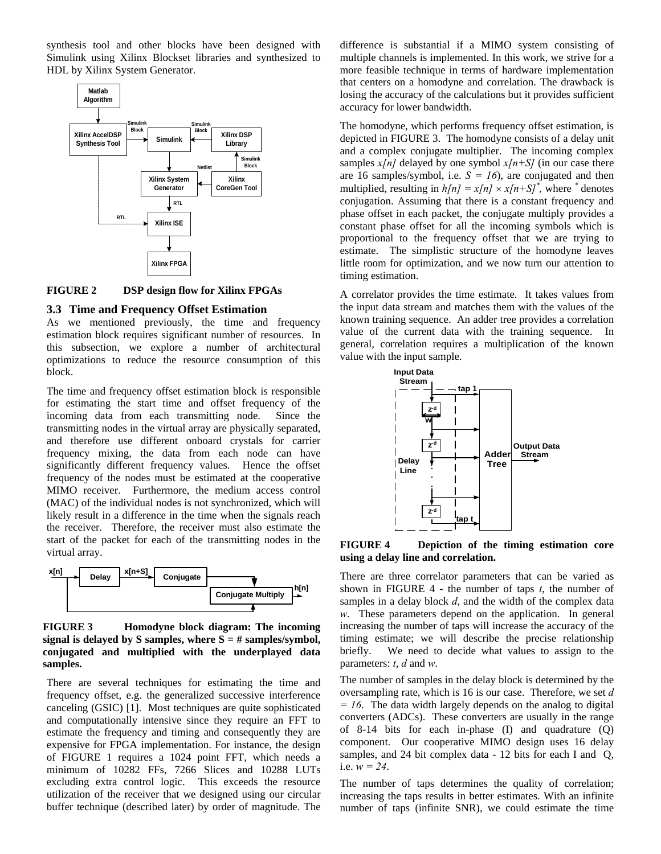synthesis tool and other blocks have been designed with Simulink using Xilinx Blockset libraries and synthesized to HDL by Xilinx System Generator.



**FIGURE 2 DSP design flow for Xilinx FPGAs** 

#### **3.3 Time and Frequency Offset Estimation**

As we mentioned previously, the time and frequency estimation block requires significant number of resources. In this subsection, we explore a number of architectural optimizations to reduce the resource consumption of this block.

The time and frequency offset estimation block is responsible for estimating the start time and offset frequency of the incoming data from each transmitting node. Since the transmitting nodes in the virtual array are physically separated, and therefore use different onboard crystals for carrier frequency mixing, the data from each node can have significantly different frequency values. Hence the offset frequency of the nodes must be estimated at the cooperative MIMO receiver. Furthermore, the medium access control (MAC) of the individual nodes is not synchronized, which will likely result in a difference in the time when the signals reach the receiver. Therefore, the receiver must also estimate the start of the packet for each of the transmitting nodes in the virtual array.



**FIGURE 3 Homodyne block diagram: The incoming signal is delayed by S samples, where S = # samples/symbol, conjugated and multiplied with the underplayed data samples.** 

There are several techniques for estimating the time and frequency offset, e.g. the generalized successive interference canceling (GSIC) [1]. Most techniques are quite sophisticated and computationally intensive since they require an FFT to estimate the frequency and timing and consequently they are expensive for FPGA implementation. For instance, the design of FIGURE 1 requires a 1024 point FFT, which needs a minimum of 10282 FFs, 7266 Slices and 10288 LUTs excluding extra control logic. This exceeds the resource utilization of the receiver that we designed using our circular buffer technique (described later) by order of magnitude. The

difference is substantial if a MIMO system consisting of multiple channels is implemented. In this work, we strive for a more feasible technique in terms of hardware implementation that centers on a homodyne and correlation. The drawback is losing the accuracy of the calculations but it provides sufficient accuracy for lower bandwidth.

The homodyne, which performs frequency offset estimation, is depicted in FIGURE 3. The homodyne consists of a delay unit and a complex conjugate multiplier. The incoming complex samples  $x/n$  delayed by one symbol  $x/n+S$  (in our case there are 16 samples/symbol, i.e.  $S = 16$ ), are conjugated and then multiplied, resulting in  $h[n] = x[n] \times x[n+S]^*$ , where <sup>\*</sup> denotes conjugation. Assuming that there is a constant frequency and phase offset in each packet, the conjugate multiply provides a constant phase offset for all the incoming symbols which is proportional to the frequency offset that we are trying to estimate. The simplistic structure of the homodyne leaves little room for optimization, and we now turn our attention to timing estimation.

A correlator provides the time estimate. It takes values from the input data stream and matches them with the values of the known training sequence. An adder tree provides a correlation value of the current data with the training sequence. In general, correlation requires a multiplication of the known value with the input sample.



**FIGURE 4 Depiction of the timing estimation core using a delay line and correlation.** 

There are three correlator parameters that can be varied as shown in FIGURE  $4$  - the number of taps  $t$ , the number of samples in a delay block *d*, and the width of the complex data *w*. These parameters depend on the application. In general increasing the number of taps will increase the accuracy of the timing estimate; we will describe the precise relationship briefly. We need to decide what values to assign to the parameters: *t*, *d* and *w*.

The number of samples in the delay block is determined by the oversampling rate, which is 16 is our case. Therefore, we set *d = 16*. The data width largely depends on the analog to digital converters (ADCs). These converters are usually in the range of 8-14 bits for each in-phase (I) and quadrature (Q) component. Our cooperative MIMO design uses 16 delay samples, and 24 bit complex data - 12 bits for each I and Q, i.e.  $w = 24$ .

The number of taps determines the quality of correlation; increasing the taps results in better estimates. With an infinite number of taps (infinite SNR), we could estimate the time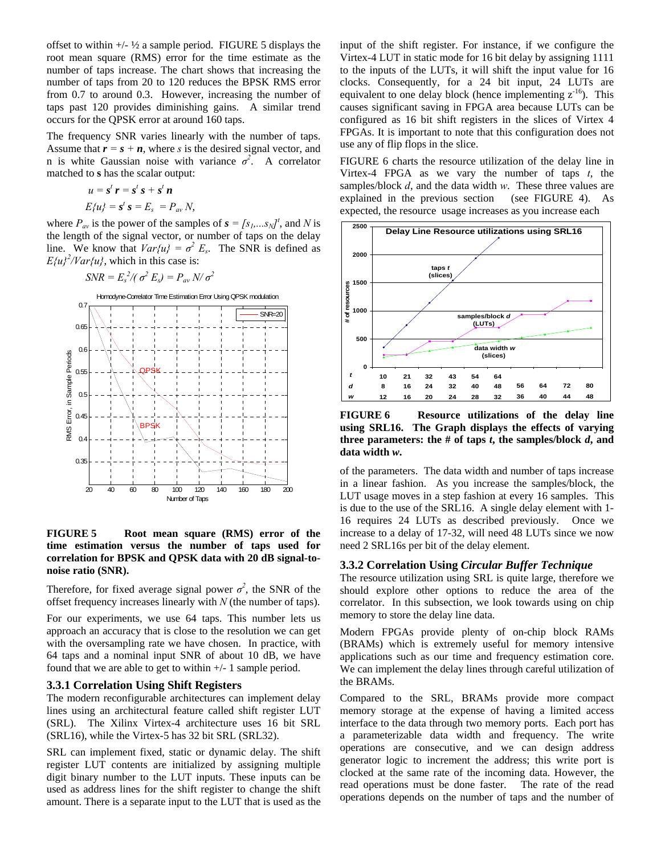offset to within  $\frac{1}{2}$  a sample period. FIGURE 5 displays the root mean square (RMS) error for the time estimate as the number of taps increase. The chart shows that increasing the number of taps from 20 to 120 reduces the BPSK RMS error from 0.7 to around 0.3. However, increasing the number of taps past 120 provides diminishing gains. A similar trend occurs for the QPSK error at around 160 taps.

The frequency SNR varies linearly with the number of taps. Assume that  $\mathbf{r} = \mathbf{s} + \mathbf{n}$ , where *s* is the desired signal vector, and n is white Gaussian noise with variance  $\sigma^2$ . A correlator matched to **s** has the scalar output:

$$
u = st r = st s + st n
$$
  

$$
E\{u\} = st s = Es = Pav N
$$

 $SNR = E_s^2/(\sigma^2 E_s) = P_{av} N/\sigma^2$ 

where  $P_{av}$  is the power of the samples of  $\mathbf{s} = [s_1, \dots s_N]^t$ , and N is the length of the signal vector, or number of taps on the delay line. We know that  $Var\{u\} = \sigma^2 E_s$ . The SNR is defined as  $E\{u\}^2/Var\{u\}$ , which in this case is:



**FIGURE 5 Root mean square (RMS) error of the time estimation versus the number of taps used for correlation for BPSK and QPSK data with 20 dB signal-to-**

Therefore, for fixed average signal power  $\sigma^2$ , the SNR of the offset frequency increases linearly with *N* (the number of taps).

For our experiments, we use 64 taps. This number lets us approach an accuracy that is close to the resolution we can get with the oversampling rate we have chosen. In practice, with 64 taps and a nominal input SNR of about 10 dB, we have found that we are able to get to within  $+/- 1$  sample period.

#### **3.3.1 Correlation Using Shift Registers**

**noise ratio (SNR).**

The modern reconfigurable architectures can implement delay lines using an architectural feature called shift register LUT (SRL). The Xilinx Virtex-4 architecture uses 16 bit SRL (SRL16), while the Virtex-5 has 32 bit SRL (SRL32).

SRL can implement fixed, static or dynamic delay. The shift register LUT contents are initialized by assigning multiple digit binary number to the LUT inputs. These inputs can be used as address lines for the shift register to change the shift amount. There is a separate input to the LUT that is used as the

input of the shift register. For instance, if we configure the Virtex-4 LUT in static mode for 16 bit delay by assigning 1111 to the inputs of the LUTs, it will shift the input value for 16 clocks. Consequently, for a 24 bit input, 24 LUTs are equivalent to one delay block (hence implementing  $z^{-16}$ ). This causes significant saving in FPGA area because LUTs can be configured as 16 bit shift registers in the slices of Virtex 4 FPGAs. It is important to note that this configuration does not use any of flip flops in the slice.

FIGURE 6 charts the resource utilization of the delay line in Virtex-4 FPGA as we vary the number of taps *t*, the samples/block *d*, and the data width *w*. These three values are explained in the previous section (see FIGURE 4). As expected, the resource usage increases as you increase each



**FIGURE 6 Resource utilizations of the delay line using SRL16. The Graph displays the effects of varying**  three parameters: the  $#$  of taps  $t$ , the samples/block  $d$ , and **data width** *w***.** 

of the parameters. The data width and number of taps increase in a linear fashion. As you increase the samples/block, the LUT usage moves in a step fashion at every 16 samples. This is due to the use of the SRL16. A single delay element with 1- 16 requires 24 LUTs as described previously. Once we increase to a delay of 17-32, will need 48 LUTs since we now need 2 SRL16s per bit of the delay element.

## **3.3.2 Correlation Using** *Circular Buffer Technique*

The resource utilization using SRL is quite large, therefore we should explore other options to reduce the area of the correlator. In this subsection, we look towards using on chip memory to store the delay line data.

Modern FPGAs provide plenty of on-chip block RAMs (BRAMs) which is extremely useful for memory intensive applications such as our time and frequency estimation core. We can implement the delay lines through careful utilization of the BRAMs.

Compared to the SRL, BRAMs provide more compact memory storage at the expense of having a limited access interface to the data through two memory ports. Each port has a parameterizable data width and frequency. The write operations are consecutive, and we can design address generator logic to increment the address; this write port is clocked at the same rate of the incoming data. However, the read operations must be done faster. The rate of the read operations depends on the number of taps and the number of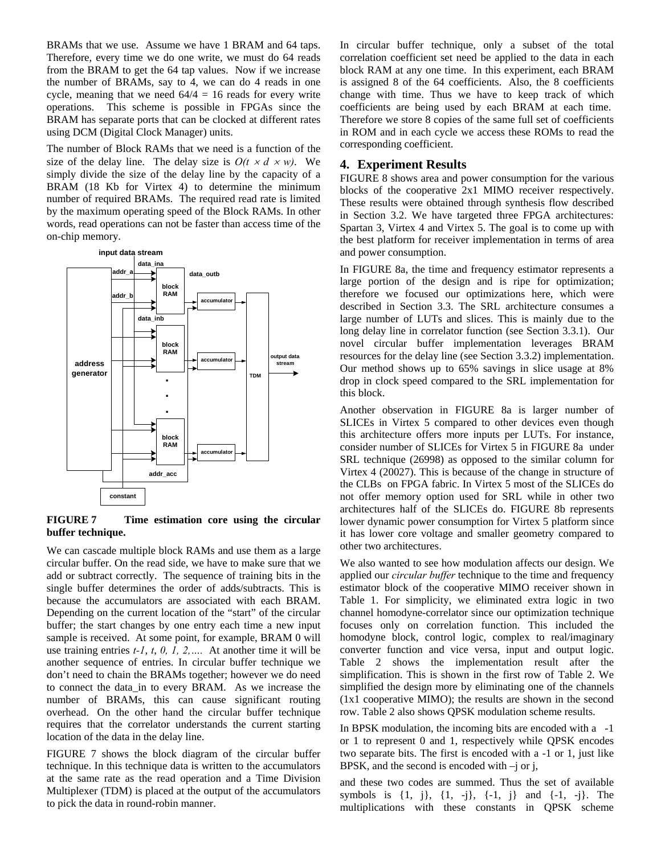BRAMs that we use. Assume we have 1 BRAM and 64 taps. Therefore, every time we do one write, we must do 64 reads from the BRAM to get the 64 tap values. Now if we increase the number of BRAMs, say to 4, we can do 4 reads in one cycle, meaning that we need  $64/4 = 16$  reads for every write operations. This scheme is possible in FPGAs since the BRAM has separate ports that can be clocked at different rates using DCM (Digital Clock Manager) units.

The number of Block RAMs that we need is a function of the size of the delay line. The delay size is  $O(t \times d \times w)$ . We simply divide the size of the delay line by the capacity of a BRAM (18 Kb for Virtex 4) to determine the minimum number of required BRAMs. The required read rate is limited by the maximum operating speed of the Block RAMs. In other words, read operations can not be faster than access time of the on-chip memory.



**FIGURE 7 Time estimation core using the circular buffer technique.** 

We can cascade multiple block RAMs and use them as a large circular buffer. On the read side, we have to make sure that we add or subtract correctly. The sequence of training bits in the single buffer determines the order of adds/subtracts. This is because the accumulators are associated with each BRAM. Depending on the current location of the "start" of the circular buffer; the start changes by one entry each time a new input sample is received. At some point, for example, BRAM 0 will use training entries *t-1*, *t*, *0, 1, 2,….* At another time it will be another sequence of entries. In circular buffer technique we don't need to chain the BRAMs together; however we do need to connect the data\_in to every BRAM. As we increase the number of BRAMs, this can cause significant routing overhead. On the other hand the circular buffer technique requires that the correlator understands the current starting location of the data in the delay line.

FIGURE 7 shows the block diagram of the circular buffer technique. In this technique data is written to the accumulators at the same rate as the read operation and a Time Division Multiplexer (TDM) is placed at the output of the accumulators to pick the data in round-robin manner.

In circular buffer technique, only a subset of the total correlation coefficient set need be applied to the data in each block RAM at any one time. In this experiment, each BRAM is assigned 8 of the 64 coefficients. Also, the 8 coefficients change with time. Thus we have to keep track of which coefficients are being used by each BRAM at each time. Therefore we store 8 copies of the same full set of coefficients in ROM and in each cycle we access these ROMs to read the corresponding coefficient.

## **4. Experiment Results**

FIGURE 8 shows area and power consumption for the various blocks of the cooperative 2x1 MIMO receiver respectively. These results were obtained through synthesis flow described in Section 3.2. We have targeted three FPGA architectures: Spartan 3, Virtex 4 and Virtex 5. The goal is to come up with the best platform for receiver implementation in terms of area and power consumption.

In FIGURE 8a, the time and frequency estimator represents a large portion of the design and is ripe for optimization; therefore we focused our optimizations here, which were described in Section 3.3. The SRL architecture consumes a large number of LUTs and slices. This is mainly due to the long delay line in correlator function (see Section 3.3.1). Our novel circular buffer implementation leverages BRAM resources for the delay line (see Section 3.3.2) implementation. Our method shows up to 65% savings in slice usage at 8% drop in clock speed compared to the SRL implementation for this block.

Another observation in FIGURE 8a is larger number of SLICEs in Virtex 5 compared to other devices even though this architecture offers more inputs per LUTs. For instance, consider number of SLICEs for Virtex 5 in FIGURE 8a under SRL technique (26998) as opposed to the similar column for Virtex 4 (20027). This is because of the change in structure of the CLBs on FPGA fabric. In Virtex 5 most of the SLICEs do not offer memory option used for SRL while in other two architectures half of the SLICEs do. FIGURE 8b represents lower dynamic power consumption for Virtex 5 platform since it has lower core voltage and smaller geometry compared to other two architectures.

We also wanted to see how modulation affects our design. We applied our *circular buffer* technique to the time and frequency estimator block of the cooperative MIMO receiver shown in Table 1. For simplicity, we eliminated extra logic in two channel homodyne-correlator since our optimization technique focuses only on correlation function. This included the homodyne block, control logic, complex to real/imaginary converter function and vice versa, input and output logic. Table 2 shows the implementation result after the simplification. This is shown in the first row of Table 2. We simplified the design more by eliminating one of the channels (1x1 cooperative MIMO); the results are shown in the second row. Table 2 also shows QPSK modulation scheme results.

In BPSK modulation, the incoming bits are encoded with a -1 or 1 to represent 0 and 1, respectively while QPSK encodes two separate bits. The first is encoded with a -1 or 1, just like BPSK, and the second is encoded with  $-i$  or j,

and these two codes are summed. Thus the set of available symbols is  $\{1, j\}$ ,  $\{1, -j\}$ ,  $\{-1, j\}$  and  $\{-1, -j\}$ . The multiplications with these constants in QPSK scheme